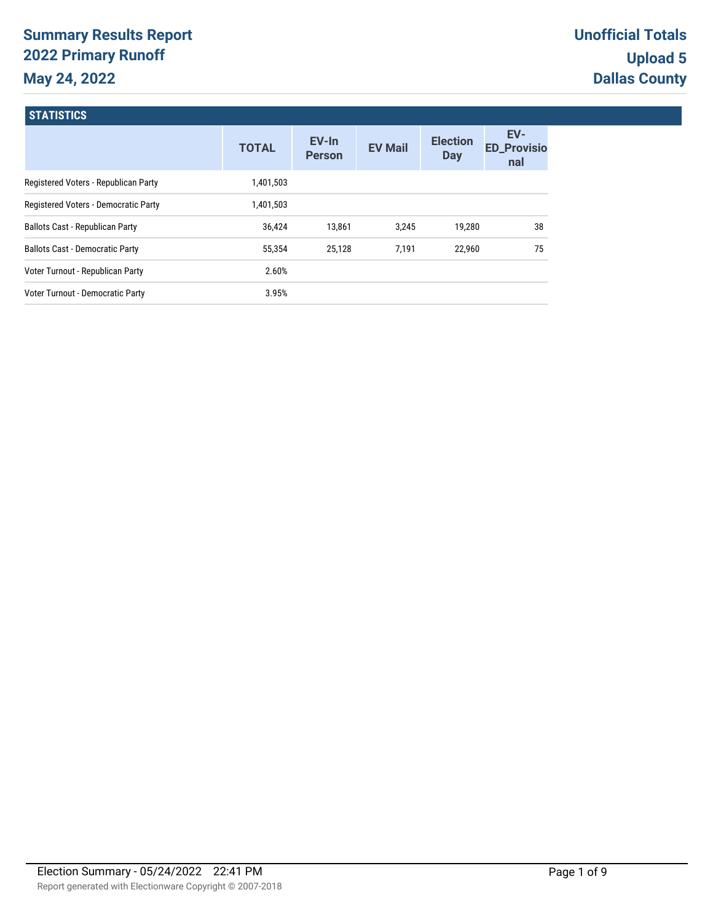# **Summary Results Report 2022 Primary Runoff May 24, 2022**

| <b>STATISTICS</b>                      |              |                        |                |                               |                                  |
|----------------------------------------|--------------|------------------------|----------------|-------------------------------|----------------------------------|
|                                        | <b>TOTAL</b> | EV-In<br><b>Person</b> | <b>EV Mail</b> | <b>Election</b><br><b>Day</b> | EV-<br><b>ED_Provisio</b><br>nal |
| Registered Voters - Republican Party   | 1,401,503    |                        |                |                               |                                  |
| Registered Voters - Democratic Party   | 1,401,503    |                        |                |                               |                                  |
| <b>Ballots Cast - Republican Party</b> | 36,424       | 13,861                 | 3,245          | 19,280                        | 38                               |
| <b>Ballots Cast - Democratic Party</b> | 55,354       | 25,128                 | 7,191          | 22,960                        | 75                               |
| Voter Turnout - Republican Party       | 2.60%        |                        |                |                               |                                  |
| Voter Turnout - Democratic Party       | 3.95%        |                        |                |                               |                                  |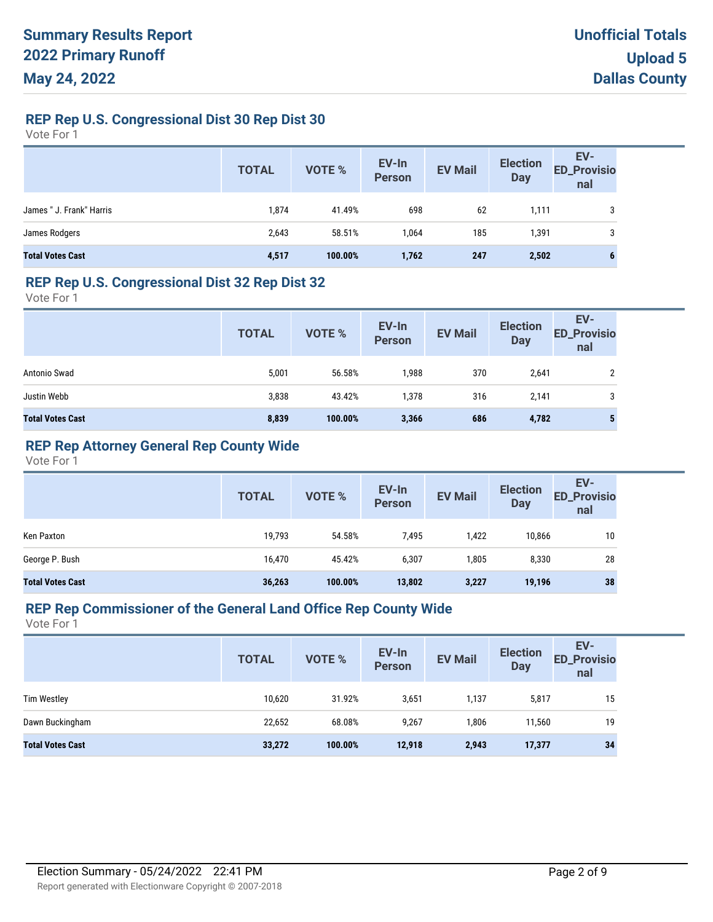# **REP Rep U.S. Congressional Dist 30 Rep Dist 30**

Vote For 1

|                          | <b>TOTAL</b> | VOTE %  | EV-In<br>Person | <b>EV Mail</b> | <b>Election</b><br>Day | EV-<br>ED_Provisio<br>nal |
|--------------------------|--------------|---------|-----------------|----------------|------------------------|---------------------------|
| James " J. Frank" Harris | 1,874        | 41.49%  | 698             | 62             | 1,111                  | 3                         |
| James Rodgers            | 2,643        | 58.51%  | 1,064           | 185            | 1,391                  | 3                         |
| <b>Total Votes Cast</b>  | 4,517        | 100.00% | 1,762           | 247            | 2,502                  | 6                         |

#### **REP Rep U.S. Congressional Dist 32 Rep Dist 32**

Vote For 1

|                         | <b>TOTAL</b> | VOTE %  | EV-In<br>Person | <b>EV Mail</b> | <b>Election</b><br><b>Day</b> | EV-<br><b>ED_Provisio</b><br>nal |
|-------------------------|--------------|---------|-----------------|----------------|-------------------------------|----------------------------------|
| Antonio Swad            | 5,001        | 56.58%  | 1,988           | 370            | 2,641                         | ∩                                |
| Justin Webb             | 3,838        | 43.42%  | 1,378           | 316            | 2,141                         | 3                                |
| <b>Total Votes Cast</b> | 8,839        | 100.00% | 3,366           | 686            | 4,782                         | 5                                |

# **REP Rep Attorney General Rep County Wide**

Vote For 1

|                         | <b>TOTAL</b> | <b>VOTE %</b> | EV-In<br><b>Person</b> | <b>EV Mail</b> | <b>Election</b><br><b>Day</b> | EV-<br><b>ED_Provisio</b><br>nal |
|-------------------------|--------------|---------------|------------------------|----------------|-------------------------------|----------------------------------|
| Ken Paxton              | 19,793       | 54.58%        | 7,495                  | 1,422          | 10.866                        | 10                               |
| George P. Bush          | 16,470       | 45.42%        | 6,307                  | 1,805          | 8,330                         | 28                               |
| <b>Total Votes Cast</b> | 36,263       | 100.00%       | 13,802                 | 3,227          | 19,196                        | 38                               |

#### **REP Rep Commissioner of the General Land Office Rep County Wide**

|                         | <b>TOTAL</b> | <b>VOTE %</b> | EV-In<br>Person | <b>EV Mail</b> | <b>Election</b><br><b>Day</b> | EV-<br><b>ED_Provisio</b><br>nal |
|-------------------------|--------------|---------------|-----------------|----------------|-------------------------------|----------------------------------|
| <b>Tim Westley</b>      | 10,620       | 31.92%        | 3,651           | 1,137          | 5,817                         | 15                               |
| Dawn Buckingham         | 22,652       | 68.08%        | 9,267           | 1,806          | 11,560                        | 19                               |
| <b>Total Votes Cast</b> | 33,272       | 100.00%       | 12,918          | 2,943          | 17,377                        | 34                               |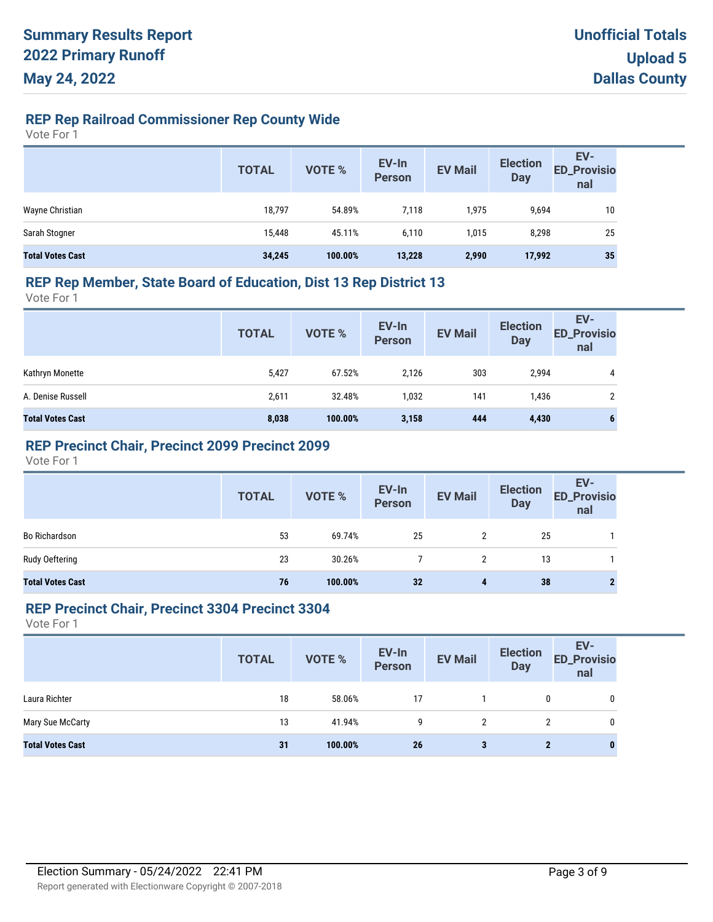# **REP Rep Railroad Commissioner Rep County Wide**

Vote For 1

|                         | <b>TOTAL</b> | VOTE %  | EV-In<br>Person | <b>EV Mail</b> | <b>Election</b><br><b>Day</b> | EV-<br><b>ED_Provisio</b><br>nal |
|-------------------------|--------------|---------|-----------------|----------------|-------------------------------|----------------------------------|
| Wayne Christian         | 18,797       | 54.89%  | 7,118           | 1,975          | 9,694                         | 10                               |
| Sarah Stogner           | 15,448       | 45.11%  | 6,110           | 1.015          | 8,298                         | 25                               |
| <b>Total Votes Cast</b> | 34,245       | 100.00% | 13,228          | 2,990          | 17,992                        | 35                               |

### **REP Rep Member, State Board of Education, Dist 13 Rep District 13**

Vote For 1

|                         | <b>TOTAL</b> | VOTE %  | EV-In<br>Person | <b>EV Mail</b> | <b>Election</b><br><b>Day</b> | EV-<br><b>ED_Provisio</b><br>nal |
|-------------------------|--------------|---------|-----------------|----------------|-------------------------------|----------------------------------|
| Kathryn Monette         | 5,427        | 67.52%  | 2.126           | 303            | 2,994                         | 4                                |
| A. Denise Russell       | 2,611        | 32.48%  | 1,032           | 141            | 1,436                         | າ                                |
| <b>Total Votes Cast</b> | 8,038        | 100.00% | 3,158           | 444            | 4,430                         | 6                                |

## **REP Precinct Chair, Precinct 2099 Precinct 2099**

Vote For 1

|                         | <b>TOTAL</b> | VOTE %  | EV-In<br>Person | <b>EV Mail</b>       | <b>Election</b><br>Day | EV-<br>ED_Provisio<br>nal |
|-------------------------|--------------|---------|-----------------|----------------------|------------------------|---------------------------|
| Bo Richardson           | 53           | 69.74%  | 25              | $\mathbf{2}^{\circ}$ | 25                     |                           |
| Rudy Oeftering          | 23           | 30.26%  |                 | 2                    | 13                     |                           |
| <b>Total Votes Cast</b> | 76           | 100.00% | 32              | 4                    | 38                     |                           |

#### **REP Precinct Chair, Precinct 3304 Precinct 3304**

|                         | <b>TOTAL</b> | VOTE %  | EV-In<br>Person | <b>EV Mail</b> | <b>Election</b><br><b>Day</b> | EV-<br><b>ED_Provisio</b><br>nal |
|-------------------------|--------------|---------|-----------------|----------------|-------------------------------|----------------------------------|
| Laura Richter           | 18           | 58.06%  | 17              |                | 0                             | 0                                |
| Mary Sue McCarty        | 13           | 41.94%  | 9               | 2              | 2                             | 0                                |
| <b>Total Votes Cast</b> | 31           | 100.00% | 26              | 3              | $\mathbf{2}$                  | $\bf{0}$                         |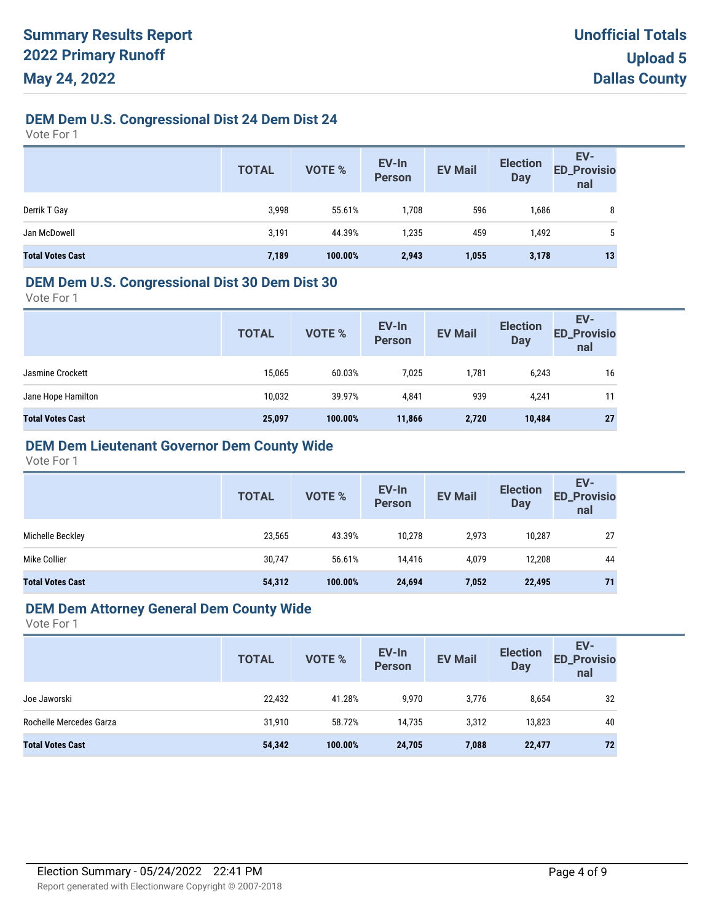# **DEM Dem U.S. Congressional Dist 24 Dem Dist 24**

Vote For 1

|                         | <b>TOTAL</b> | <b>VOTE %</b> | EV-In<br>Person | <b>EV Mail</b> | <b>Election</b><br><b>Day</b> | EV-<br>ED_Provisio<br>nal |
|-------------------------|--------------|---------------|-----------------|----------------|-------------------------------|---------------------------|
| Derrik T Gay            | 3,998        | 55.61%        | 1,708           | 596            | 1,686                         | 8                         |
| Jan McDowell            | 3,191        | 44.39%        | 1,235           | 459            | 1,492                         | 5                         |
| <b>Total Votes Cast</b> | 7,189        | 100.00%       | 2,943           | 1,055          | 3,178                         | 13                        |

#### **DEM Dem U.S. Congressional Dist 30 Dem Dist 30**

Vote For 1

|        |              |        | <b>EV Mail</b> | <b>Election</b><br><b>Day</b> | <b>ED_Provisio</b><br>nal |
|--------|--------------|--------|----------------|-------------------------------|---------------------------|
| 15,065 | 60.03%       | 7,025  | 1,781          | 6,243                         | 16                        |
| 10,032 | 39.97%       | 4,841  | 939            | 4,241                         | 11                        |
| 25,097 | 100.00%      | 11,866 | 2,720          | 10,484                        | 27                        |
|        | <b>TOTAL</b> | VOTE % |                | EV-In<br>Person               |                           |

# **DEM Dem Lieutenant Governor Dem County Wide**

Vote For 1

|                         | <b>TOTAL</b> | <b>VOTE %</b> | EV-In<br><b>Person</b> | <b>EV Mail</b> | <b>Election</b><br><b>Day</b> | EV-<br><b>ED_Provisio</b><br>nal |
|-------------------------|--------------|---------------|------------------------|----------------|-------------------------------|----------------------------------|
| Michelle Beckley        | 23,565       | 43.39%        | 10.278                 | 2,973          | 10.287                        | 27                               |
| Mike Collier            | 30,747       | 56.61%        | 14.416                 | 4,079          | 12,208                        | 44                               |
| <b>Total Votes Cast</b> | 54,312       | 100.00%       | 24,694                 | 7,052          | 22,495                        | 71                               |

# **DEM Dem Attorney General Dem County Wide**

|                         | <b>TOTAL</b> | <b>VOTE %</b> | EV-In<br>Person | <b>EV Mail</b> | <b>Election</b><br><b>Day</b> | EV-<br><b>ED_Provisio</b><br>nal |
|-------------------------|--------------|---------------|-----------------|----------------|-------------------------------|----------------------------------|
| Joe Jaworski            | 22,432       | 41.28%        | 9,970           | 3,776          | 8,654                         | 32                               |
| Rochelle Mercedes Garza | 31,910       | 58.72%        | 14,735          | 3,312          | 13,823                        | 40                               |
| <b>Total Votes Cast</b> | 54,342       | 100.00%       | 24,705          | 7,088          | 22,477                        | 72                               |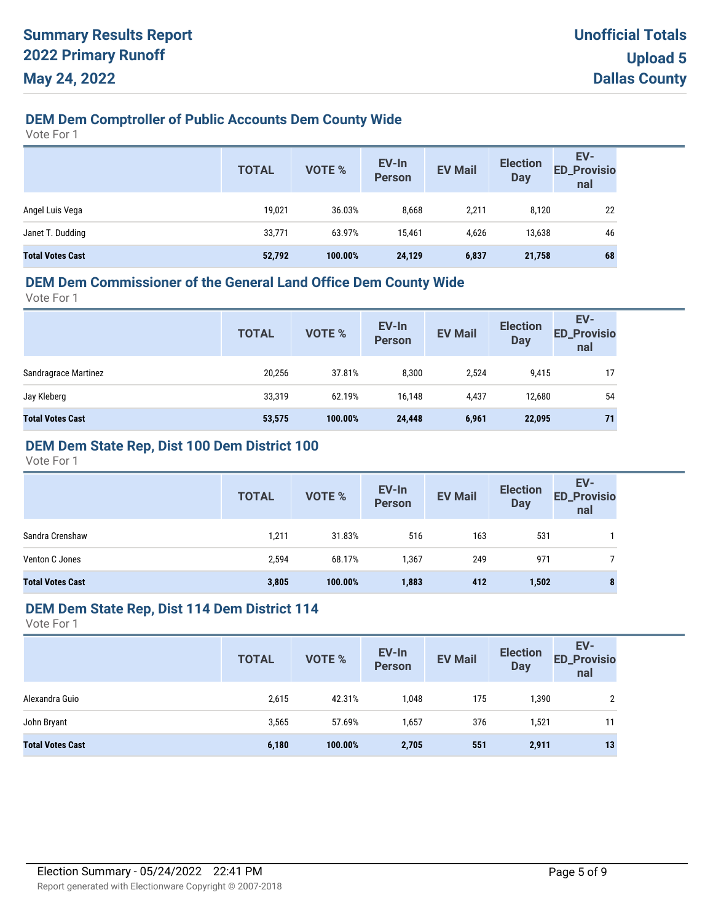# **DEM Dem Comptroller of Public Accounts Dem County Wide**

Vote For 1

|                         | <b>TOTAL</b> | VOTE %  | EV-In<br><b>Person</b> | <b>EV Mail</b> | <b>Election</b><br><b>Day</b> | EV-<br><b>ED_Provisio</b><br>nal |
|-------------------------|--------------|---------|------------------------|----------------|-------------------------------|----------------------------------|
| Angel Luis Vega         | 19,021       | 36.03%  | 8,668                  | 2,211          | 8,120                         | 22                               |
| Janet T. Dudding        | 33,771       | 63.97%  | 15,461                 | 4,626          | 13,638                        | 46                               |
| <b>Total Votes Cast</b> | 52,792       | 100.00% | 24,129                 | 6,837          | 21,758                        | 68                               |

# **DEM Dem Commissioner of the General Land Office Dem County Wide**

Vote For 1

| <b>ED_Provisio</b><br><b>Person</b><br><b>Day</b><br>nal                  |    |
|---------------------------------------------------------------------------|----|
| Sandragrace Martinez<br>20,256<br>8,300<br>37.81%<br>2,524<br>9,415       | 17 |
| Jay Kleberg<br>33,319<br>62.19%<br>12,680<br>16,148<br>4,437              | 54 |
| <b>Total Votes Cast</b><br>100.00%<br>6,961<br>53,575<br>24,448<br>22,095 | 71 |

# **DEM Dem State Rep, Dist 100 Dem District 100**

Vote For 1

|                         | <b>TOTAL</b> | <b>VOTE %</b> | EV-In<br><b>Person</b> | <b>EV Mail</b> | <b>Election</b><br><b>Day</b> | EV-<br><b>ED_Provisio</b><br>nal |
|-------------------------|--------------|---------------|------------------------|----------------|-------------------------------|----------------------------------|
| Sandra Crenshaw         | 1,211        | 31.83%        | 516                    | 163            | 531                           |                                  |
| Venton C Jones          | 2,594        | 68.17%        | 1,367                  | 249            | 971                           |                                  |
| <b>Total Votes Cast</b> | 3,805        | 100.00%       | 1,883                  | 412            | 1,502                         | $\bullet$<br>۰                   |

#### **DEM Dem State Rep, Dist 114 Dem District 114**

|                         | <b>TOTAL</b> | VOTE %  | EV-In<br>Person | <b>EV Mail</b> | <b>Election</b><br><b>Day</b> | EV-<br><b>ED_Provisio</b><br>nal |
|-------------------------|--------------|---------|-----------------|----------------|-------------------------------|----------------------------------|
| Alexandra Guio          | 2,615        | 42.31%  | 1,048           | 175            | 1,390                         | 2                                |
| John Bryant             | 3,565        | 57.69%  | 1,657           | 376            | 1,521                         |                                  |
| <b>Total Votes Cast</b> | 6,180        | 100.00% | 2,705           | 551            | 2,911                         | 13                               |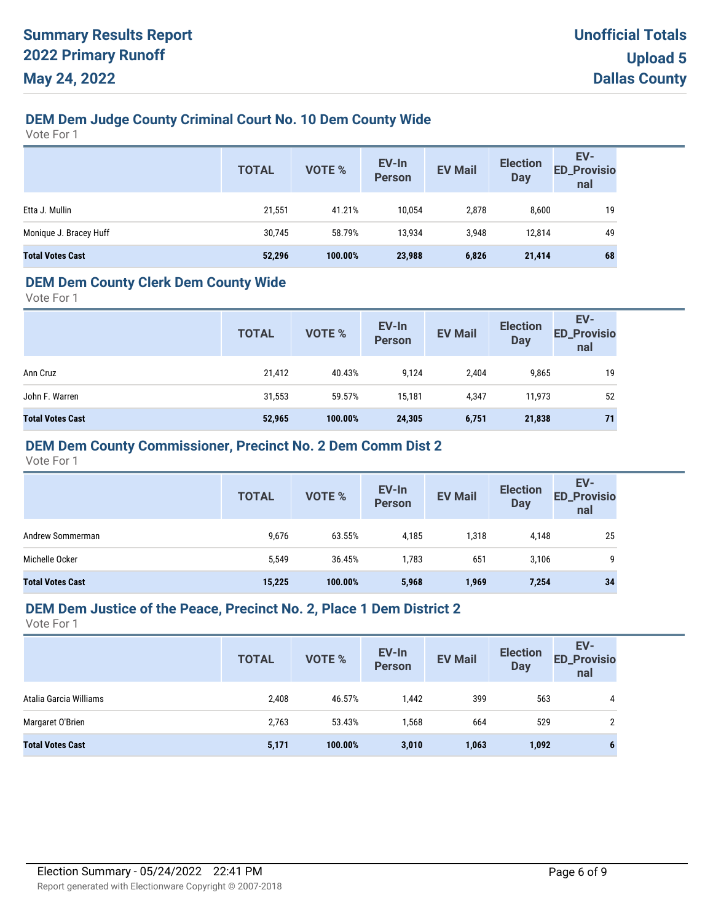# **DEM Dem Judge County Criminal Court No. 10 Dem County Wide**

Vote For 1

|                         | <b>TOTAL</b> | VOTE %  | EV-In<br><b>Person</b> | <b>EV Mail</b> | <b>Election</b><br><b>Day</b> | EV-<br>ED_Provisio<br>nal |
|-------------------------|--------------|---------|------------------------|----------------|-------------------------------|---------------------------|
| Etta J. Mullin          | 21,551       | 41.21%  | 10,054                 | 2,878          | 8,600                         | 19                        |
| Monique J. Bracey Huff  | 30,745       | 58.79%  | 13,934                 | 3,948          | 12,814                        | 49                        |
| <b>Total Votes Cast</b> | 52,296       | 100.00% | 23,988                 | 6,826          | 21,414                        | 68                        |

## **DEM Dem County Clerk Dem County Wide**

Vote For 1

|                         | <b>TOTAL</b> | VOTE %  | EV-In<br><b>Person</b> | <b>EV Mail</b> | <b>Election</b><br><b>Day</b> | EV-<br><b>ED_Provisio</b><br>nal |
|-------------------------|--------------|---------|------------------------|----------------|-------------------------------|----------------------------------|
| Ann Cruz                | 21,412       | 40.43%  | 9,124                  | 2,404          | 9,865                         | 19                               |
| John F. Warren          | 31,553       | 59.57%  | 15,181                 | 4,347          | 11,973                        | 52                               |
| <b>Total Votes Cast</b> | 52,965       | 100.00% | 24,305                 | 6,751          | 21,838                        | 71                               |

### **DEM Dem County Commissioner, Precinct No. 2 Dem Comm Dist 2**

Vote For 1

|                         | <b>TOTAL</b> | VOTE %  | EV-In<br><b>Person</b> | <b>EV Mail</b> | <b>Election</b><br><b>Day</b> | EV-<br><b>ED_Provisio</b><br>nal |
|-------------------------|--------------|---------|------------------------|----------------|-------------------------------|----------------------------------|
| Andrew Sommerman        | 9,676        | 63.55%  | 4,185                  | 318,           | 4,148                         | 25                               |
| Michelle Ocker          | 5,549        | 36.45%  | 1,783                  | 651            | 3,106                         | Q                                |
| <b>Total Votes Cast</b> | 15,225       | 100.00% | 5,968                  | 1,969          | 7,254                         | 34                               |

#### **DEM Dem Justice of the Peace, Precinct No. 2, Place 1 Dem District 2**

|                         | <b>TOTAL</b> | <b>VOTE %</b> | EV-In<br><b>Person</b> | <b>EV Mail</b> | <b>Election</b><br><b>Day</b> | EV-<br><b>ED_Provisio</b><br>nal |
|-------------------------|--------------|---------------|------------------------|----------------|-------------------------------|----------------------------------|
| Atalia Garcia Williams  | 2,408        | 46.57%        | 1,442                  | 399            | 563                           | 4                                |
| Margaret O'Brien        | 2,763        | 53.43%        | 1,568                  | 664            | 529                           | C.                               |
| <b>Total Votes Cast</b> | 5,171        | 100.00%       | 3,010                  | 1,063          | 1,092                         | o                                |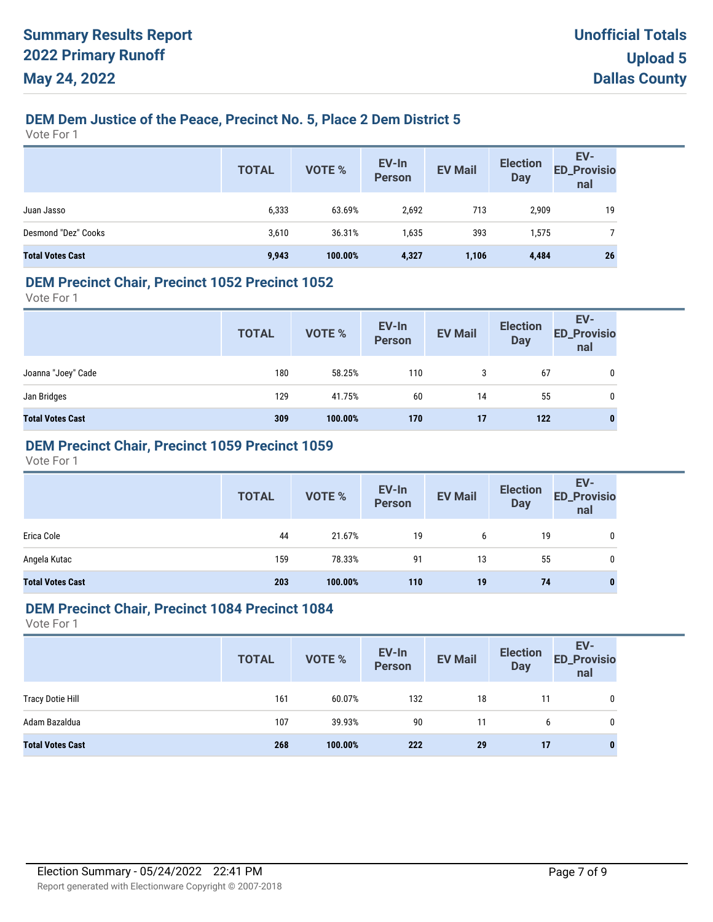# **DEM Dem Justice of the Peace, Precinct No. 5, Place 2 Dem District 5**

Vote For 1

|                         | <b>TOTAL</b> | <b>VOTE %</b> | EV-In<br>Person | <b>EV Mail</b> | <b>Election</b><br><b>Day</b> | EV-<br>ED_Provisio<br>nal |
|-------------------------|--------------|---------------|-----------------|----------------|-------------------------------|---------------------------|
| Juan Jasso              | 6,333        | 63.69%        | 2,692           | 713            | 2,909                         | 19                        |
| Desmond "Dez" Cooks     | 3,610        | 36.31%        | 1,635           | 393            | 1,575                         |                           |
| <b>Total Votes Cast</b> | 9,943        | 100.00%       | 4,327           | 1,106          | 4,484                         | 26                        |

#### **DEM Precinct Chair, Precinct 1052 Precinct 1052**

Vote For 1

|                         | <b>TOTAL</b> | VOTE %  | EV-In<br>Person | <b>EV Mail</b> | <b>Election</b><br><b>Day</b> | EV-<br>ED_Provisio<br>nal |
|-------------------------|--------------|---------|-----------------|----------------|-------------------------------|---------------------------|
| Joanna "Joey" Cade      | 180          | 58.25%  | 110             | 3              | 67                            | 0                         |
| Jan Bridges             | 129          | 41.75%  | 60              | 14             | 55                            | 0                         |
| <b>Total Votes Cast</b> | 309          | 100.00% | 170             | 17             | 122                           | $\bf{0}$                  |

## **DEM Precinct Chair, Precinct 1059 Precinct 1059**

Vote For 1

|                         | <b>TOTAL</b> | VOTE %  | EV-In<br>Person | <b>EV Mail</b> | <b>Election</b><br><b>Day</b> | EV-<br>ED_Provisio<br>nal |
|-------------------------|--------------|---------|-----------------|----------------|-------------------------------|---------------------------|
| Erica Cole              | 44           | 21.67%  | 19              | 6              | 19                            | 0                         |
| Angela Kutac            | 159          | 78.33%  | 91              | 13             | 55                            | 0                         |
| <b>Total Votes Cast</b> | 203          | 100.00% | 110             | 19             | 74                            | $\bf{0}$                  |

#### **DEM Precinct Chair, Precinct 1084 Precinct 1084**

|                         | <b>TOTAL</b> | <b>VOTE %</b> | EV-In<br>Person | <b>EV Mail</b> | <b>Election</b><br><b>Day</b> | EV-<br><b>ED_Provisio</b><br>nal |
|-------------------------|--------------|---------------|-----------------|----------------|-------------------------------|----------------------------------|
| <b>Tracy Dotie Hill</b> | 161          | 60.07%        | 132             | 18             | 11                            | 0                                |
| Adam Bazaldua           | 107          | 39.93%        | 90              | 11             | 6                             | 0                                |
| <b>Total Votes Cast</b> | 268          | 100.00%       | 222             | 29             | 17                            |                                  |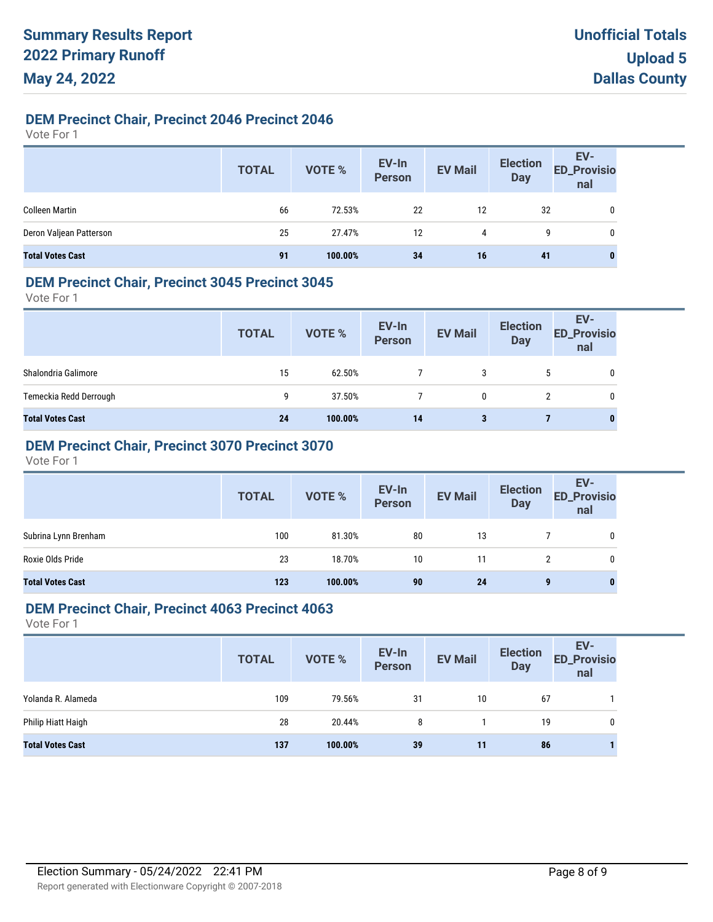# **DEM Precinct Chair, Precinct 2046 Precinct 2046**

Vote For 1

|                         | <b>TOTAL</b> | VOTE %  | EV-In<br>Person | <b>EV Mail</b> | <b>Election</b><br>Day | EV-<br>ED_Provisio<br>nal |
|-------------------------|--------------|---------|-----------------|----------------|------------------------|---------------------------|
| <b>Colleen Martin</b>   | 66           | 72.53%  | 22              | 12             | 32                     | 0                         |
| Deron Valjean Patterson | 25           | 27.47%  | 12              | 4              | 9                      | 0                         |
| <b>Total Votes Cast</b> | 91           | 100.00% | 34              | 16             | 41                     | $\bf{0}$                  |

#### **DEM Precinct Chair, Precinct 3045 Precinct 3045**

Vote For 1

|                         | <b>TOTAL</b> | VOTE %  | EV-In<br>Person | <b>EV Mail</b> | <b>Election</b><br><b>Day</b> | EV-<br><b>ED_Provisio</b><br>nal |
|-------------------------|--------------|---------|-----------------|----------------|-------------------------------|----------------------------------|
| Shalondria Galimore     | 15           | 62.50%  |                 | 3              | 5                             | 0                                |
| Temeckia Redd Derrough  | 9            | 37.50%  |                 | 0              |                               | 0                                |
| <b>Total Votes Cast</b> | 24           | 100.00% | 14              | 3              |                               | $\bf{0}$                         |

# **DEM Precinct Chair, Precinct 3070 Precinct 3070**

Vote For 1

|                         | <b>TOTAL</b> | VOTE %  | EV-In<br>Person | <b>EV Mail</b> | <b>Election</b><br><b>Day</b> | EV-<br>ED_Provisio<br>nal |
|-------------------------|--------------|---------|-----------------|----------------|-------------------------------|---------------------------|
| Subrina Lynn Brenham    | 100          | 81.30%  | 80              | 13             |                               | 0                         |
| Roxie Olds Pride        | 23           | 18.70%  | 10              | 11             |                               | 0                         |
| <b>Total Votes Cast</b> | 123          | 100.00% | 90              | 24             | 9                             | $\bf{0}$                  |

### **DEM Precinct Chair, Precinct 4063 Precinct 4063**

|                         | <b>TOTAL</b> | <b>VOTE %</b> | EV-In<br>Person | <b>EV Mail</b> | <b>Election</b><br><b>Day</b> | EV-<br><b>ED_Provisio</b><br>nal |
|-------------------------|--------------|---------------|-----------------|----------------|-------------------------------|----------------------------------|
| Yolanda R. Alameda      | 109          | 79.56%        | 31              | 10             | 67                            |                                  |
| Philip Hiatt Haigh      | 28           | 20.44%        | 8               |                | 19                            | 0                                |
| <b>Total Votes Cast</b> | 137          | 100.00%       | 39              | 11             | 86                            |                                  |